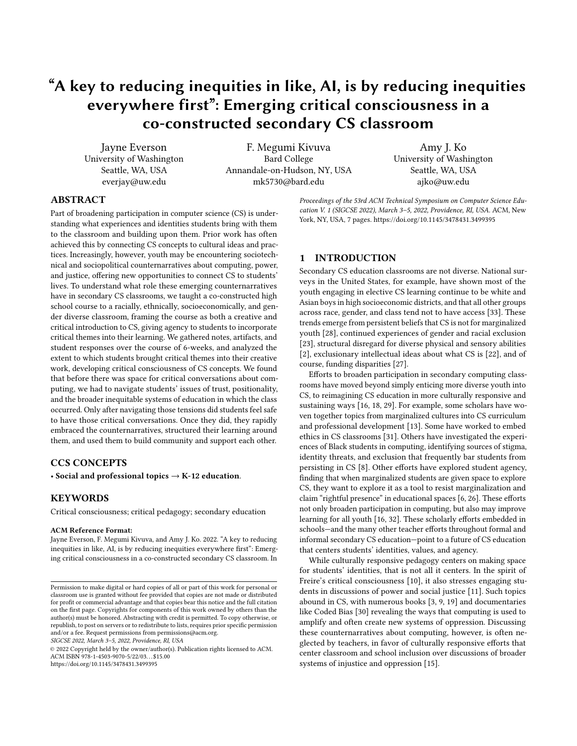# "A key to reducing inequities in like, AI, is by reducing inequities everywhere first": Emerging critical consciousness in a co-constructed secondary CS classroom

Jayne Everson University of Washington Seattle, WA, USA everjay@uw.edu

F. Megumi Kivuva Bard College Annandale-on-Hudson, NY, USA mk5730@bard.edu

Amy J. Ko University of Washington Seattle, WA, USA ajko@uw.edu

# ABSTRACT

Part of broadening participation in computer science (CS) is understanding what experiences and identities students bring with them to the classroom and building upon them. Prior work has often achieved this by connecting CS concepts to cultural ideas and practices. Increasingly, however, youth may be encountering sociotechnical and sociopolitical counternarratives about computing, power, and justice, offering new opportunities to connect CS to students' lives. To understand what role these emerging counternarratives have in secondary CS classrooms, we taught a co-constructed high school course to a racially, ethnically, socioeconomically, and gender diverse classroom, framing the course as both a creative and critical introduction to CS, giving agency to students to incorporate critical themes into their learning. We gathered notes, artifacts, and student responses over the course of 6-weeks, and analyzed the extent to which students brought critical themes into their creative work, developing critical consciousness of CS concepts. We found that before there was space for critical conversations about computing, we had to navigate students' issues of trust, positionality, and the broader inequitable systems of education in which the class occurred. Only after navigating those tensions did students feel safe to have those critical conversations. Once they did, they rapidly embraced the counternarratives, structured their learning around them, and used them to build community and support each other.

# CCS CONCEPTS

• Social and professional topics  $\rightarrow$  K-12 education.

# **KEYWORDS**

Critical consciousness; critical pedagogy; secondary education

#### ACM Reference Format:

Jayne Everson, F. Megumi Kivuva, and Amy J. Ko. 2022. "A key to reducing inequities in like, AI, is by reducing inequities everywhere first": Emerging critical consciousness in a co-constructed secondary CS classroom. In

SIGCSE 2022, March 3–5, 2022, Providence, RI, USA

© 2022 Copyright held by the owner/author(s). Publication rights licensed to ACM. ACM ISBN 978-1-4503-9070-5/22/03. . . \$15.00 <https://doi.org/10.1145/3478431.3499395>

Proceedings of the 53rd ACM Technical Symposium on Computer Science Education V. 1 (SIGCSE 2022), March 3–5, 2022, Providence, RI, USA. ACM, New York, NY, USA, [7](#page-6-0) pages.<https://doi.org/10.1145/3478431.3499395>

# 1 INTRODUCTION

Secondary CS education classrooms are not diverse. National surveys in the United States, for example, have shown most of the youth engaging in elective CS learning continue to be white and Asian boys in high socioeconomic districts, and that all other groups across race, gender, and class tend not to have access [\[33\]](#page-6-1). These trends emerge from persistent beliefs that CS is not for marginalized youth [\[28\]](#page-6-2), continued experiences of gender and racial exclusion [\[23\]](#page-6-3), structural disregard for diverse physical and sensory abilities [\[2\]](#page-6-4), exclusionary intellectual ideas about what CS is [\[22\]](#page-6-5), and of course, funding disparities [\[27\]](#page-6-6).

Efforts to broaden participation in secondary computing classrooms have moved beyond simply enticing more diverse youth into CS, to reimagining CS education in more culturally responsive and sustaining ways [\[16,](#page-6-7) [18,](#page-6-8) [29\]](#page-6-9). For example, some scholars have woven together topics from marginalized cultures into CS curriculum and professional development [\[13\]](#page-6-10). Some have worked to embed ethics in CS classrooms [\[31\]](#page-6-11). Others have investigated the experiences of Black students in computing, identifying sources of stigma, identity threats, and exclusion that frequently bar students from persisting in CS [\[8\]](#page-6-12). Other efforts have explored student agency, finding that when marginalized students are given space to explore CS, they want to explore it as a tool to resist marginalization and claim "rightful presence" in educational spaces [\[6,](#page-6-13) [26\]](#page-6-14). These efforts not only broaden participation in computing, but also may improve learning for all youth [\[16,](#page-6-7) [32\]](#page-6-15). These scholarly efforts embedded in schools—and the many other teacher efforts throughout formal and informal secondary CS education—point to a future of CS education that centers students' identities, values, and agency.

While culturally responsive pedagogy centers on making space for students' identities, that is not all it centers. In the spirit of Freire's critical consciousness [\[10\]](#page-6-16), it also stresses engaging students in discussions of power and social justice [\[11\]](#page-6-17). Such topics abound in CS, with numerous books [\[3,](#page-6-18) [9,](#page-6-19) [19\]](#page-6-20) and documentaries like Coded Bias [\[30\]](#page-6-21) revealing the ways that computing is used to amplify and often create new systems of oppression. Discussing these counternarratives about computing, however, is often neglected by teachers, in favor of culturally responsive efforts that center classroom and school inclusion over discussions of broader systems of injustice and oppression [\[15\]](#page-6-22).

Permission to make digital or hard copies of all or part of this work for personal or classroom use is granted without fee provided that copies are not made or distributed for profit or commercial advantage and that copies bear this notice and the full citation on the first page. Copyrights for components of this work owned by others than the author(s) must be honored. Abstracting with credit is permitted. To copy otherwise, or republish, to post on servers or to redistribute to lists, requires prior specific permission and/or a fee. Request permissions from permissions@acm.org.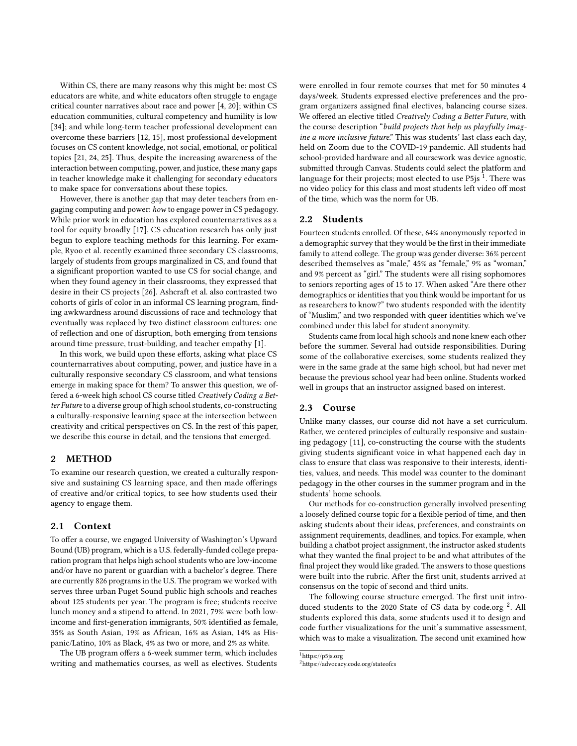Within CS, there are many reasons why this might be: most CS educators are white, and white educators often struggle to engage critical counter narratives about race and power [\[4,](#page-6-23) [20\]](#page-6-24); within CS education communities, cultural competency and humility is low [\[34\]](#page-6-25); and while long-term teacher professional development can overcome these barriers [\[12,](#page-6-26) [15\]](#page-6-22), most professional development focuses on CS content knowledge, not social, emotional, or political topics [\[21,](#page-6-27) [24,](#page-6-28) [25\]](#page-6-29). Thus, despite the increasing awareness of the interaction between computing, power, and justice, these many gaps in teacher knowledge make it challenging for secondary educators to make space for conversations about these topics.

However, there is another gap that may deter teachers from engaging computing and power: how to engage power in CS pedagogy. While prior work in education has explored counternarratives as a tool for equity broadly [\[17\]](#page-6-30), CS education research has only just begun to explore teaching methods for this learning. For example, Ryoo et al. recently examined three secondary CS classrooms, largely of students from groups marginalized in CS, and found that a significant proportion wanted to use CS for social change, and when they found agency in their classrooms, they expressed that desire in their CS projects [\[26\]](#page-6-14). Ashcraft et al. also contrasted two cohorts of girls of color in an informal CS learning program, finding awkwardness around discussions of race and technology that eventually was replaced by two distinct classroom cultures: one of reflection and one of disruption, both emerging from tensions around time pressure, trust-building, and teacher empathy [\[1\]](#page-6-31).

In this work, we build upon these efforts, asking what place CS counternarratives about computing, power, and justice have in a culturally responsive secondary CS classroom, and what tensions emerge in making space for them? To answer this question, we offered a 6-week high school CS course titled Creatively Coding a Better Future to a diverse group of high school students, co-constructing a culturally-responsive learning space at the intersection between creativity and critical perspectives on CS. In the rest of this paper, we describe this course in detail, and the tensions that emerged.

#### 2 METHOD

To examine our research question, we created a culturally responsive and sustaining CS learning space, and then made offerings of creative and/or critical topics, to see how students used their agency to engage them.

# 2.1 Context

To offer a course, we engaged University of Washington's Upward Bound (UB) program, which is a U.S. federally-funded college preparation program that helps high school students who are low-income and/or have no parent or guardian with a bachelor's degree. There are currently 826 programs in the U.S. The program we worked with serves three urban Puget Sound public high schools and reaches about 125 students per year. The program is free; students receive lunch money and a stipend to attend. In 2021, 79% were both lowincome and first-generation immigrants, 50% identified as female, 35% as South Asian, 19% as African, 16% as Asian, 14% as Hispanic/Latino, 10% as Black, 4% as two or more, and 2% as white.

The UB program offers a 6-week summer term, which includes writing and mathematics courses, as well as electives. Students were enrolled in four remote courses that met for 50 minutes 4 days/week. Students expressed elective preferences and the program organizers assigned final electives, balancing course sizes. We offered an elective titled Creatively Coding a Better Future, with the course description "build projects that help us playfully imagine a more inclusive future." This was students' last class each day, held on Zoom due to the COVID-19 pandemic. All students had school-provided hardware and all coursework was device agnostic, submitted through Canvas. Students could select the platform and language for their projects; most elected to use P5js  $^{\overline{1}}.$  $^{\overline{1}}.$  $^{\overline{1}}.$  There was no video policy for this class and most students left video off most of the time, which was the norm for UB.

#### 2.2 Students

Fourteen students enrolled. Of these, 64% anonymously reported in a demographic survey that they would be the first in their immediate family to attend college. The group was gender diverse: 36% percent described themselves as "male," 45% as "female," 9% as "woman," and 9% percent as "girl." The students were all rising sophomores to seniors reporting ages of 15 to 17. When asked "Are there other demographics or identities that you think would be important for us as researchers to know?" two students responded with the identity of "Muslim," and two responded with queer identities which we've combined under this label for student anonymity.

Students came from local high schools and none knew each other before the summer. Several had outside responsibilities. During some of the collaborative exercises, some students realized they were in the same grade at the same high school, but had never met because the previous school year had been online. Students worked well in groups that an instructor assigned based on interest.

## 2.3 Course

Unlike many classes, our course did not have a set curriculum. Rather, we centered principles of culturally responsive and sustaining pedagogy [\[11\]](#page-6-17), co-constructing the course with the students giving students significant voice in what happened each day in class to ensure that class was responsive to their interests, identities, values, and needs. This model was counter to the dominant pedagogy in the other courses in the summer program and in the students' home schools.

Our methods for co-construction generally involved presenting a loosely defined course topic for a flexible period of time, and then asking students about their ideas, preferences, and constraints on assignment requirements, deadlines, and topics. For example, when building a chatbot project assignment, the instructor asked students what they wanted the final project to be and what attributes of the final project they would like graded. The answers to those questions were built into the rubric. After the first unit, students arrived at consensus on the topic of second and third units.

The following course structure emerged. The first unit intro-duced students to the [2](#page-1-1)020 State of CS data by code.org<sup>2</sup>. All students explored this data, some students used it to design and code further visualizations for the unit's summative assessment, which was to make a visualization. The second unit examined how

<span id="page-1-0"></span><sup>1</sup>https://p5js.org

<span id="page-1-1"></span><sup>2</sup>https://advocacy.code.org/stateofcs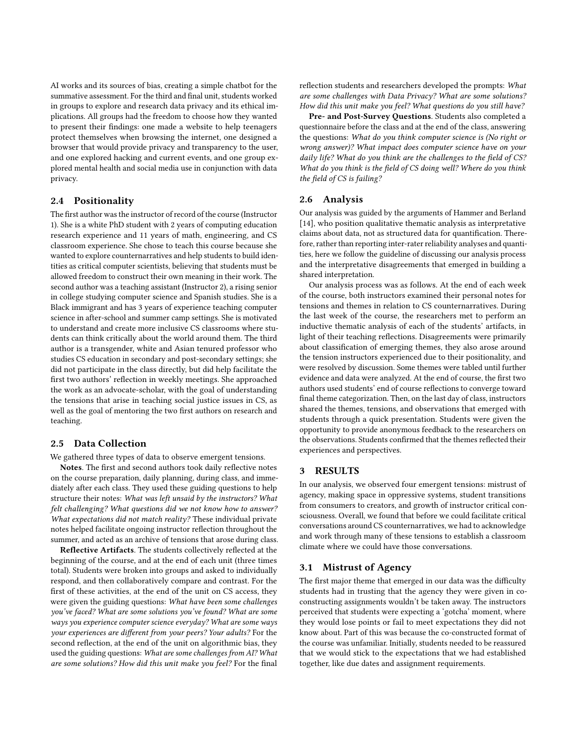AI works and its sources of bias, creating a simple chatbot for the summative assessment. For the third and final unit, students worked in groups to explore and research data privacy and its ethical implications. All groups had the freedom to choose how they wanted to present their findings: one made a website to help teenagers protect themselves when browsing the internet, one designed a browser that would provide privacy and transparency to the user, and one explored hacking and current events, and one group explored mental health and social media use in conjunction with data privacy.

# 2.4 Positionality

The first author was the instructor of record of the course (Instructor 1). She is a white PhD student with 2 years of computing education research experience and 11 years of math, engineering, and CS classroom experience. She chose to teach this course because she wanted to explore counternarratives and help students to build identities as critical computer scientists, believing that students must be allowed freedom to construct their own meaning in their work. The second author was a teaching assistant (Instructor 2), a rising senior in college studying computer science and Spanish studies. She is a Black immigrant and has 3 years of experience teaching computer science in after-school and summer camp settings. She is motivated to understand and create more inclusive CS classrooms where students can think critically about the world around them. The third author is a transgender, white and Asian tenured professor who studies CS education in secondary and post-secondary settings; she did not participate in the class directly, but did help facilitate the first two authors' reflection in weekly meetings. She approached the work as an advocate-scholar, with the goal of understanding the tensions that arise in teaching social justice issues in CS, as well as the goal of mentoring the two first authors on research and teaching.

# 2.5 Data Collection

We gathered three types of data to observe emergent tensions.

Notes. The first and second authors took daily reflective notes on the course preparation, daily planning, during class, and immediately after each class. They used these guiding questions to help structure their notes: What was left unsaid by the instructors? What felt challenging? What questions did we not know how to answer? What expectations did not match reality? These individual private notes helped facilitate ongoing instructor reflection throughout the summer, and acted as an archive of tensions that arose during class.

Reflective Artifacts. The students collectively reflected at the beginning of the course, and at the end of each unit (three times total). Students were broken into groups and asked to individually respond, and then collaboratively compare and contrast. For the first of these activities, at the end of the unit on CS access, they were given the guiding questions: What have been some challenges you've faced? What are some solutions you've found? What are some ways you experience computer science everyday? What are some ways your experiences are different from your peers? Your adults? For the second reflection, at the end of the unit on algorithmic bias, they used the guiding questions: What are some challenges from AI? What are some solutions? How did this unit make you feel? For the final reflection students and researchers developed the prompts: What are some challenges with Data Privacy? What are some solutions? How did this unit make you feel? What questions do you still have?

Pre- and Post-Survey Questions. Students also completed a questionnaire before the class and at the end of the class, answering the questions: What do you think computer science is (No right or wrong answer)? What impact does computer science have on your daily life? What do you think are the challenges to the field of CS? What do you think is the field of CS doing well? Where do you think the field of CS is failing?

# 2.6 Analysis

Our analysis was guided by the arguments of Hammer and Berland [\[14\]](#page-6-32), who position qualitative thematic analysis as interpretative claims about data, not as structured data for quantification. Therefore, rather than reporting inter-rater reliability analyses and quantities, here we follow the guideline of discussing our analysis process and the interpretative disagreements that emerged in building a shared interpretation.

Our analysis process was as follows. At the end of each week of the course, both instructors examined their personal notes for tensions and themes in relation to CS counternarratives. During the last week of the course, the researchers met to perform an inductive thematic analysis of each of the students' artifacts, in light of their teaching reflections. Disagreements were primarily about classification of emerging themes, they also arose around the tension instructors experienced due to their positionality, and were resolved by discussion. Some themes were tabled until further evidence and data were analyzed. At the end of course, the first two authors used students' end of course reflections to converge toward final theme categorization. Then, on the last day of class, instructors shared the themes, tensions, and observations that emerged with students through a quick presentation. Students were given the opportunity to provide anonymous feedback to the researchers on the observations. Students confirmed that the themes reflected their experiences and perspectives.

# 3 RESULTS

In our analysis, we observed four emergent tensions: mistrust of agency, making space in oppressive systems, student transitions from consumers to creators, and growth of instructor critical consciousness. Overall, we found that before we could facilitate critical conversations around CS counternarratives, we had to acknowledge and work through many of these tensions to establish a classroom climate where we could have those conversations.

#### 3.1 Mistrust of Agency

The first major theme that emerged in our data was the difficulty students had in trusting that the agency they were given in coconstructing assignments wouldn't be taken away. The instructors perceived that students were expecting a 'gotcha' moment, where they would lose points or fail to meet expectations they did not know about. Part of this was because the co-constructed format of the course was unfamiliar. Initially, students needed to be reassured that we would stick to the expectations that we had established together, like due dates and assignment requirements.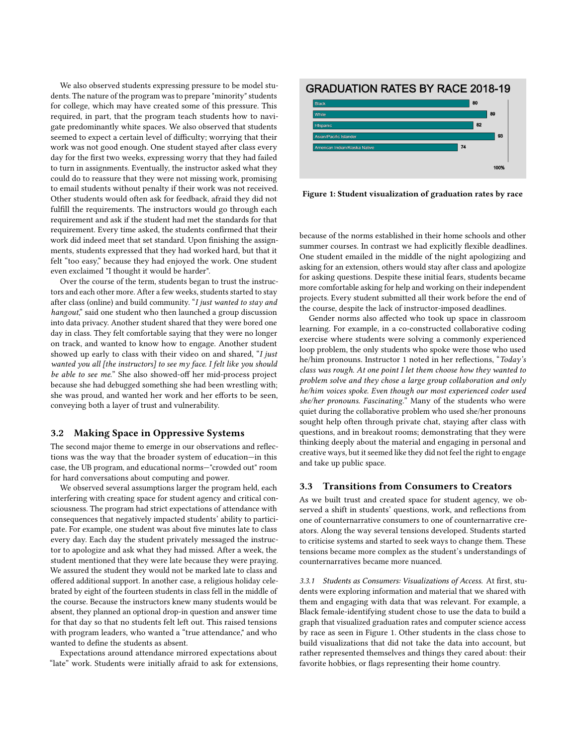We also observed students expressing pressure to be model students. The nature of the program was to prepare "minority" students for college, which may have created some of this pressure. This required, in part, that the program teach students how to navigate predominantly white spaces. We also observed that students seemed to expect a certain level of difficulty; worrying that their work was not good enough. One student stayed after class every day for the first two weeks, expressing worry that they had failed to turn in assignments. Eventually, the instructor asked what they could do to reassure that they were not missing work, promising to email students without penalty if their work was not received. Other students would often ask for feedback, afraid they did not fulfill the requirements. The instructors would go through each requirement and ask if the student had met the standards for that requirement. Every time asked, the students confirmed that their work did indeed meet that set standard. Upon finishing the assignments, students expressed that they had worked hard, but that it felt "too easy," because they had enjoyed the work. One student even exclaimed "I thought it would be harder".

Over the course of the term, students began to trust the instructors and each other more. After a few weeks, students started to stay after class (online) and build community. "I just wanted to stay and hangout," said one student who then launched a group discussion into data privacy. Another student shared that they were bored one day in class. They felt comfortable saying that they were no longer on track, and wanted to know how to engage. Another student showed up early to class with their video on and shared, "I just wanted you all [the instructors] to see my face. I felt like you should be able to see me." She also showed-off her mid-process project because she had debugged something she had been wrestling with; she was proud, and wanted her work and her efforts to be seen, conveying both a layer of trust and vulnerability.

#### 3.2 Making Space in Oppressive Systems

The second major theme to emerge in our observations and reflections was the way that the broader system of education—in this case, the UB program, and educational norms—"crowded out" room for hard conversations about computing and power.

We observed several assumptions larger the program held, each interfering with creating space for student agency and critical consciousness. The program had strict expectations of attendance with consequences that negatively impacted students' ability to participate. For example, one student was about five minutes late to class every day. Each day the student privately messaged the instructor to apologize and ask what they had missed. After a week, the student mentioned that they were late because they were praying. We assured the student they would not be marked late to class and offered additional support. In another case, a religious holiday celebrated by eight of the fourteen students in class fell in the middle of the course. Because the instructors knew many students would be absent, they planned an optional drop-in question and answer time for that day so that no students felt left out. This raised tensions with program leaders, who wanted a "true attendance," and who wanted to define the students as absent.

Expectations around attendance mirrored expectations about "late" work. Students were initially afraid to ask for extensions,

<span id="page-3-0"></span>

Figure 1: Student visualization of graduation rates by race

because of the norms established in their home schools and other summer courses. In contrast we had explicitly flexible deadlines. One student emailed in the middle of the night apologizing and asking for an extension, others would stay after class and apologize for asking questions. Despite these initial fears, students became more comfortable asking for help and working on their independent projects. Every student submitted all their work before the end of the course, despite the lack of instructor-imposed deadlines.

Gender norms also affected who took up space in classroom learning. For example, in a co-constructed collaborative coding exercise where students were solving a commonly experienced loop problem, the only students who spoke were those who used he/him pronouns. Instructor 1 noted in her reflections, "Today's class was rough. At one point I let them choose how they wanted to problem solve and they chose a large group collaboration and only he/him voices spoke. Even though our most experienced coder used she/her pronouns. Fascinating." Many of the students who were quiet during the collaborative problem who used she/her pronouns sought help often through private chat, staying after class with questions, and in breakout rooms; demonstrating that they were thinking deeply about the material and engaging in personal and creative ways, but it seemed like they did not feel the right to engage and take up public space.

#### 3.3 Transitions from Consumers to Creators

As we built trust and created space for student agency, we observed a shift in students' questions, work, and reflections from one of counternarrative consumers to one of counternarrative creators. Along the way several tensions developed. Students started to criticise systems and started to seek ways to change them. These tensions became more complex as the student's understandings of counternarratives became more nuanced.

3.3.1 Students as Consumers: Visualizations of Access. At first, students were exploring information and material that we shared with them and engaging with data that was relevant. For example, a Black female-identifying student chose to use the data to build a graph that visualized graduation rates and computer science access by race as seen in Figure [1.](#page-3-0) Other students in the class chose to build visualizations that did not take the data into account, but rather represented themselves and things they cared about: their favorite hobbies, or flags representing their home country.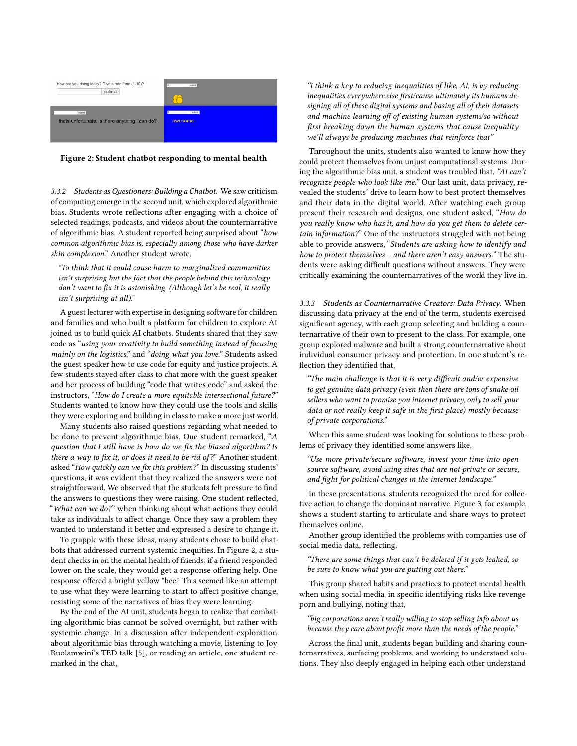<span id="page-4-0"></span>

| How are you doing today? Give a rate from (1-10)?<br>submit | submit                  |
|-------------------------------------------------------------|-------------------------|
| submit<br>thats unfortunate, is there anything i can do?    | submit<br>la<br>awesome |

#### Figure 2: Student chatbot responding to mental health

3.3.2 Students as Questioners: Building a Chatbot. We saw criticism of computing emerge in the second unit, which explored algorithmic bias. Students wrote reflections after engaging with a choice of selected readings, podcasts, and videos about the counternarrative of algorithmic bias. A student reported being surprised about "how common algorithmic bias is, especially among those who have darker skin complexion." Another student wrote,

"To think that it could cause harm to marginalized communities isn't surprising but the fact that the people behind this technology don't want to fix it is astonishing. (Although let's be real, it really isn't surprising at all)."

A guest lecturer with expertise in designing software for children and families and who built a platform for children to explore AI joined us to build quick AI chatbots. Students shared that they saw code as "using your creativity to build something instead of focusing mainly on the logistics," and "doing what you love." Students asked the guest speaker how to use code for equity and justice projects. A few students stayed after class to chat more with the guest speaker and her process of building "code that writes code" and asked the instructors, "How do I create a more equitable intersectional future?" Students wanted to know how they could use the tools and skills they were exploring and building in class to make a more just world.

Many students also raised questions regarding what needed to be done to prevent algorithmic bias. One student remarked, "A question that I still have is how do we fix the biased algorithm? Is there a way to fix it, or does it need to be rid of?" Another student asked "How quickly can we fix this problem?" In discussing students' questions, it was evident that they realized the answers were not straightforward. We observed that the students felt pressure to find the answers to questions they were raising. One student reflected, "What can we do?" when thinking about what actions they could take as individuals to affect change. Once they saw a problem they wanted to understand it better and expressed a desire to change it.

To grapple with these ideas, many students chose to build chatbots that addressed current systemic inequities. In Figure [2,](#page-4-0) a student checks in on the mental health of friends: if a friend responded lower on the scale, they would get a response offering help. One response offered a bright yellow "bee." This seemed like an attempt to use what they were learning to start to affect positive change, resisting some of the narratives of bias they were learning.

By the end of the AI unit, students began to realize that combating algorithmic bias cannot be solved overnight, but rather with systemic change. In a discussion after independent exploration about algorithmic bias through watching a movie, listening to Joy Buolamwini's TED talk [\[5\]](#page-6-33), or reading an article, one student remarked in the chat,

"i think a key to reducing inequalities of like, AI, is by reducing inequalities everywhere else first/cause ultimately its humans designing all of these digital systems and basing all of their datasets and machine learning off of existing human systems/so without first breaking down the human systems that cause inequality we'll always be producing machines that reinforce that"

Throughout the units, students also wanted to know how they could protect themselves from unjust computational systems. During the algorithmic bias unit, a student was troubled that, "AI can't recognize people who look like me." Our last unit, data privacy, revealed the students' drive to learn how to best protect themselves and their data in the digital world. After watching each group present their research and designs, one student asked, "How do you really know who has it, and how do you get them to delete certain information?" One of the instructors struggled with not being able to provide answers, "Students are asking how to identify and how to protect themselves – and there aren't easy answers." The students were asking difficult questions without answers. They were critically examining the counternarratives of the world they live in.

3.3.3 Students as Counternarrative Creators: Data Privacy. When discussing data privacy at the end of the term, students exercised significant agency, with each group selecting and building a counternarrative of their own to present to the class. For example, one group explored malware and built a strong counternarrative about individual consumer privacy and protection. In one student's reflection they identified that,

"The main challenge is that it is very difficult and/or expensive to get genuine data privacy (even then there are tons of snake oil sellers who want to promise you internet privacy, only to sell your data or not really keep it safe in the first place) mostly because of private corporations."

When this same student was looking for solutions to these problems of privacy they identified some answers like,

"Use more private/secure software, invest your time into open source software, avoid using sites that are not private or secure, and fight for political changes in the internet landscape."

In these presentations, students recognized the need for collective action to change the dominant narrative. Figure [3,](#page-5-0) for example, shows a student starting to articulate and share ways to protect themselves online.

Another group identified the problems with companies use of social media data, reflecting,

"There are some things that can't be deleted if it gets leaked, so be sure to know what you are putting out there."

This group shared habits and practices to protect mental health when using social media, in specific identifying risks like revenge porn and bullying, noting that,

"big corporations aren't really willing to stop selling info about us because they care about profit more than the needs of the people."

Across the final unit, students began building and sharing counternarratives, surfacing problems, and working to understand solutions. They also deeply engaged in helping each other understand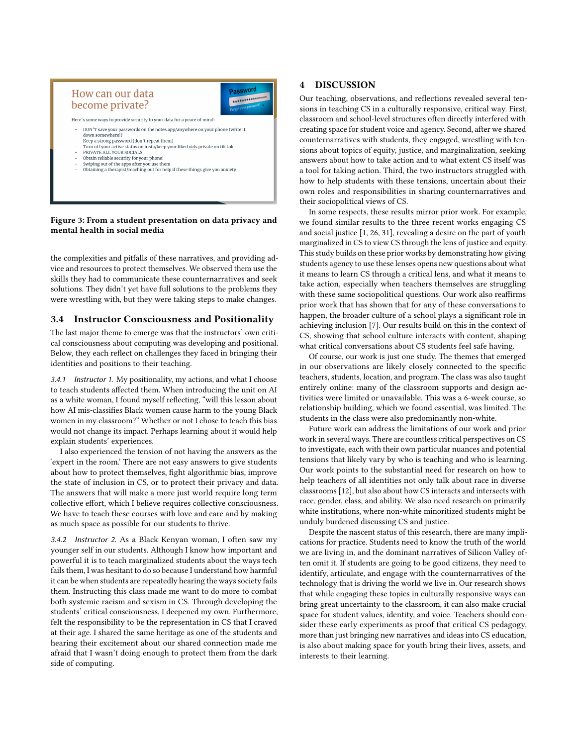<span id="page-5-0"></span>

#### Figure 3: From a student presentation on data privacy and mental health in social media

the complexities and pitfalls of these narratives, and providing advice and resources to protect themselves. We observed them use the skills they had to communicate these counternarratives and seek solutions. They didn't yet have full solutions to the problems they were wrestling with, but they were taking steps to make changes.

# 3.4 Instructor Consciousness and Positionality

The last major theme to emerge was that the instructors' own critical consciousness about computing was developing and positional. Below, they each reflect on challenges they faced in bringing their identities and positions to their teaching.

3.4.1 Instructor 1. My positionality, my actions, and what I choose to teach students affected them. When introducing the unit on AI as a white woman, I found myself reflecting, "will this lesson about how AI mis-classifies Black women cause harm to the young Black women in my classroom?" Whether or not I chose to teach this bias would not change its impact. Perhaps learning about it would help explain students' experiences.

I also experienced the tension of not having the answers as the 'expert in the room.' There are not easy answers to give students about how to protect themselves, fight algorithmic bias, improve the state of inclusion in CS, or to protect their privacy and data. The answers that will make a more just world require long term collective effort, which I believe requires collective consciousness. We have to teach these courses with love and care and by making as much space as possible for our students to thrive.

3.4.2 Instructor 2. As a Black Kenyan woman, I often saw my younger self in our students. Although I know how important and powerful it is to teach marginalized students about the ways tech fails them, I was hesitant to do so because I understand how harmful it can be when students are repeatedly hearing the ways society fails them. Instructing this class made me want to do more to combat both systemic racism and sexism in CS. Through developing the students' critical consciousness, I deepened my own. Furthermore, felt the responsibility to be the representation in CS that I craved at their age. I shared the same heritage as one of the students and hearing their excitement about our shared connection made me afraid that I wasn't doing enough to protect them from the dark side of computing.

# 4 DISCUSSION

Our teaching, observations, and reflections revealed several tensions in teaching CS in a culturally responsive, critical way. First, classroom and school-level structures often directly interfered with creating space for student voice and agency. Second, after we shared counternarratives with students, they engaged, wrestling with tensions about topics of equity, justice, and marginalization, seeking answers about how to take action and to what extent CS itself was a tool for taking action. Third, the two instructors struggled with how to help students with these tensions, uncertain about their own roles and responsibilities in sharing counternarratives and their sociopolitical views of CS.

In some respects, these results mirror prior work. For example, we found similar results to the three recent works engaging CS and social justice [\[1,](#page-6-31) [26,](#page-6-14) [31\]](#page-6-11), revealing a desire on the part of youth marginalized in CS to view CS through the lens of justice and equity. This study builds on these prior works by demonstrating how giving students agency to use these lenses opens new questions about what it means to learn CS through a critical lens, and what it means to take action, especially when teachers themselves are struggling with these same sociopolitical questions. Our work also reaffirms prior work that has shown that for any of these conversations to happen, the broader culture of a school plays a significant role in achieving inclusion [\[7\]](#page-6-34). Our results build on this in the context of CS, showing that school culture interacts with content, shaping what critical conversations about CS students feel safe having.

Of course, our work is just one study. The themes that emerged in our observations are likely closely connected to the specific teachers, students, location, and program. The class was also taught entirely online: many of the classroom supports and design activities were limited or unavailable. This was a 6-week course, so relationship building, which we found essential, was limited. The students in the class were also predominantly non-white.

Future work can address the limitations of our work and prior work in several ways. There are countless critical perspectives on CS to investigate, each with their own particular nuances and potential tensions that likely vary by who is teaching and who is learning. Our work points to the substantial need for research on how to help teachers of all identities not only talk about race in diverse classrooms [\[12\]](#page-6-26), but also about how CS interacts and intersects with race, gender, class, and ability. We also need research on primarily white institutions, where non-white minoritized students might be unduly burdened discussing CS and justice.

Despite the nascent status of this research, there are many implications for practice. Students need to know the truth of the world we are living in, and the dominant narratives of Silicon Valley often omit it. If students are going to be good citizens, they need to identify, articulate, and engage with the counternarratives of the technology that is driving the world we live in. Our research shows that while engaging these topics in culturally responsive ways can bring great uncertainty to the classroom, it can also make crucial space for student values, identity, and voice. Teachers should consider these early experiments as proof that critical CS pedagogy, more than just bringing new narratives and ideas into CS education, is also about making space for youth bring their lives, assets, and interests to their learning.